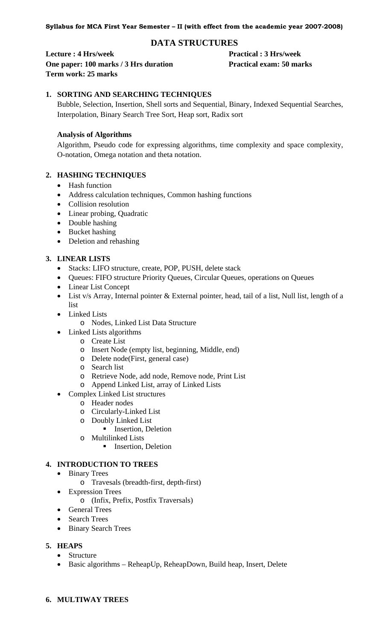# **DATA STRUCTURES**

**Lecture : 4 Hrs/week Practical : 3 Hrs/week One paper: 100 marks / 3 Hrs duration Practical exam: 50 marks Term work: 25 marks** 

# **1. SORTING AND SEARCHING TECHNIQUES**

Bubble, Selection, Insertion, Shell sorts and Sequential, Binary, Indexed Sequential Searches, Interpolation, Binary Search Tree Sort, Heap sort, Radix sort

# **Analysis of Algorithms**

Algorithm, Pseudo code for expressing algorithms, time complexity and space complexity, O-notation, Omega notation and theta notation.

# **2. HASHING TECHNIQUES**

- Hash function
- Address calculation techniques, Common hashing functions
- Collision resolution
- Linear probing, Quadratic
- Double hashing
- Bucket hashing
- Deletion and rehashing

# **3. LINEAR LISTS**

- Stacks: LIFO structure, create, POP, PUSH, delete stack
- Queues: FIFO structure Priority Queues, Circular Queues, operations on Queues
- Linear List Concept
- List v/s Array, Internal pointer & External pointer, head, tail of a list, Null list, length of a list
- Linked Lists
	- o Nodes, Linked List Data Structure
- Linked Lists algorithms
	- o Create List
	- o Insert Node (empty list, beginning, Middle, end)
	- o Delete node(First, general case)
	- o Search list
	- o Retrieve Node, add node, Remove node, Print List
	- o Append Linked List, array of Linked Lists
- Complex Linked List structures
	- o Header nodes
	- o Circularly-Linked List
	- o Doubly Linked List
		- **Insertion, Deletion**
	- o Multilinked Lists
		- **Insertion, Deletion**

# **4. INTRODUCTION TO TREES**

- Binary Trees
	- o Travesals (breadth-first, depth-first)
- Expression Trees
	- o (Infix, Prefix, Postfix Traversals)
- General Trees
- Search Trees
- Binary Search Trees
- **5. HEAPS** 
	- Structure
	- Basic algorithms ReheapUp, ReheapDown, Build heap, Insert, Delete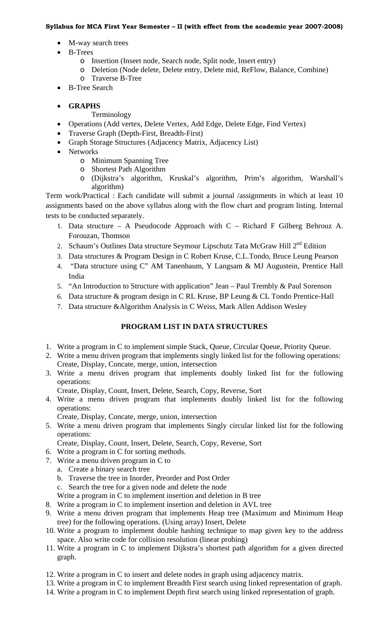- M-way search trees
- B-Trees
	- o Insertion (Inseet node, Search node, Split node, Insert entry)
	- o Deletion (Node delete, Delete entry, Delete mid, ReFlow, Balance, Combine)
	- o Traverse B-Tree
- B-Tree Search
- **GRAPHS** 
	- Terminology
- Operations (Add vertex, Delete Vertex, Add Edge, Delete Edge, Find Vertex)
- Traverse Graph (Depth-First, Breadth-First)
- Graph Storage Structures (Adjacency Matrix, Adjacency List)
- Networks
	- o Minimum Spanning Tree
	- o Shortest Path Algorithm
	- o (Dijkstra's algorithm, Kruskal's algorithm, Prim's algorithm, Warshall's algorithm)

Term work/Practical : Each candidate will submit a journal /assignments in which at least 10 assignments based on the above syllabus along with the flow chart and program listing. Internal tests to be conducted separately.

- 1. Data structure A Pseudocode Approach with C Richard F Gilberg Behrouz A. Forouzan, Thomson
- 2. Schaum's Outlines Data structure Seymour Lipschutz Tata McGraw Hill 2<sup>nd</sup> Edition
- 3. Data structures & Program Design in C Robert Kruse, C.L.Tondo, Bruce Leung Pearson
- 4. "Data structure using C" AM Tanenbaum, Y Langsam & MJ Augustein, Prentice Hall India
- 5. "An Introduction to Structure with application" Jean Paul Trembly & Paul Sorenson
- 6. Data structure & program design in C RL Kruse, BP Leung & CL Tondo Prentice-Hall
- 7. Data structure &Algorithm Analysis in C Weiss, Mark Allen Addison Wesley

# **PROGRAM LIST IN DATA STRUCTURES**

- 1. Write a program in C to implement simple Stack, Queue, Circular Queue, Priority Queue.
- 2. Write a menu driven program that implements singly linked list for the following operations: Create, Display, Concate, merge, union, intersection
- 3. Write a menu driven program that implements doubly linked list for the following operations:

Create, Display, Count, Insert, Delete, Search, Copy, Reverse, Sort

4. Write a menu driven program that implements doubly linked list for the following operations:

Create, Display, Concate, merge, union, intersection

5. Write a menu driven program that implements Singly circular linked list for the following operations:

Create, Display, Count, Insert, Delete, Search, Copy, Reverse, Sort

- 6. Write a program in C for sorting methods.
- 7. Write a menu driven program in C to
	- a. Create a binary search tree
	- b. Traverse the tree in Inorder, Preorder and Post Order
	- c. Search the tree for a given node and delete the node
	- Write a program in C to implement insertion and deletion in B tree
- 8. Write a program in C to implement insertion and deletion in AVL tree
- 9. Write a menu driven program that implements Heap tree (Maximum and Minimum Heap tree) for the following operations. (Using array) Insert, Delete
- 10. Write a program to implement double hashing technique to map given key to the address space. Also write code for collision resolution (linear probing)
- 11. Write a program in C to implement Dijkstra's shortest path algorithm for a given directed graph.
- 12. Write a program in C to insert and delete nodes in graph using adjacency matrix.
- 13. Write a program in C to implement Breadth First search using linked representation of graph.
- 14. Write a program in C to implement Depth first search using linked representation of graph.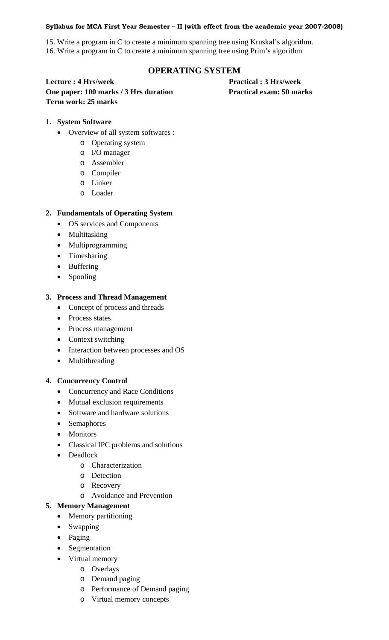15. Write a program in C to create a minimum spanning tree using Kruskal's algorithm. 16. Write a program in C to create a minimum spanning tree using Prim's algorithm

# **OPERATING SYSTEM**

**Lecture : 4 Hrs/week Practical : 3 Hrs/week One paper: 100 marks / 3 Hrs duration Practical exam: 50 marks Term work: 25 marks** 

# **1. System Software**

- Overview of all system softwares :
	- o Operating system
	- o I/O manager
	- o Assembler
	- o Compiler
	- o Linker
	- o Loader

# **2. Fundamentals of Operating System**

- OS services and Components
- Multitasking
- Multiprogramming
- Timesharing
- Buffering
- Spooling

# **3. Process and Thread Management**

- Concept of process and threads
- Process states
- Process management
- Context switching
- Interaction between processes and OS
- Multithreading

# **4. Concurrency Control**

- Concurrency and Race Conditions
- Mutual exclusion requirements
- Software and hardware solutions
- Semaphores
- Monitors
- Classical IPC problems and solutions
- Deadlock
	- o Characterization
	- o Detection
	- o Recovery
	- o Avoidance and Prevention

# **5. Memory Management**

- Memory partitioning
- Swapping
- Paging
- Segmentation
- Virtual memory
	- o Overlays
		- o Demand paging
		- o Performance of Demand paging
		- o Virtual memory concepts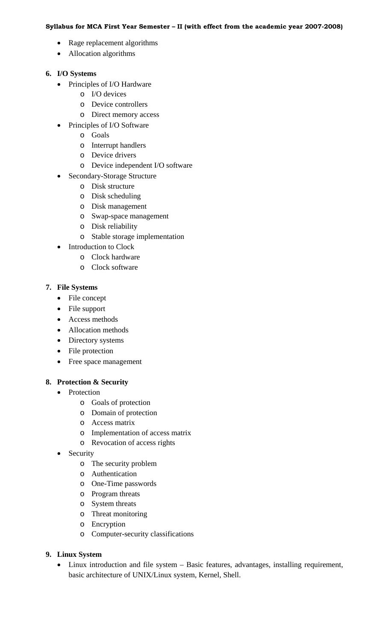- Rage replacement algorithms
- Allocation algorithms

# **6. I/O Systems**

- Principles of I/O Hardware
	- o I/O devices
	- o Device controllers
	- o Direct memory access
- Principles of I/O Software
	- o Goals
	- o Interrupt handlers
	- o Device drivers
	- o Device independent I/O software
- Secondary-Storage Structure
	- o Disk structure
	- o Disk scheduling
	- o Disk management
	- o Swap-space management
	- o Disk reliability
	- o Stable storage implementation
- Introduction to Clock
	- o Clock hardware
	- o Clock software

# **7. File Systems**

- File concept
- File support
- Access methods
- Allocation methods
- Directory systems
- File protection
- Free space management

# **8. Protection & Security**

- Protection
	- o Goals of protection
	- o Domain of protection
	- o Access matrix
	- o Implementation of access matrix
	- o Revocation of access rights
- Security
	- o The security problem
	- o Authentication
	- o One-Time passwords
	- o Program threats
	- o System threats
	- o Threat monitoring
	- o Encryption
	- o Computer-security classifications

### **9. Linux System**

• Linux introduction and file system – Basic features, advantages, installing requirement, basic architecture of UNIX/Linux system, Kernel, Shell.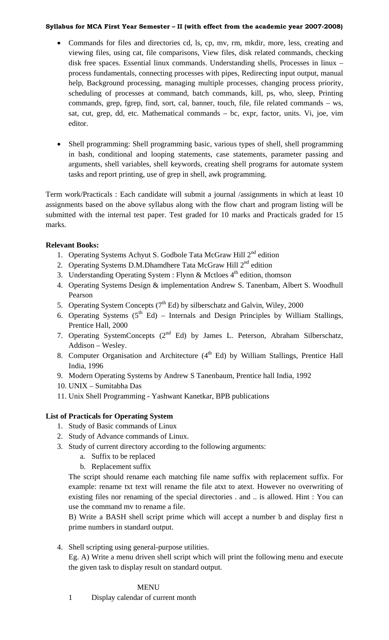- Commands for files and directories cd, ls, cp, mv, rm, mkdir, more, less, creating and viewing files, using cat, file comparisons, View files, disk related commands, checking disk free spaces. Essential linux commands. Understanding shells, Processes in linux – process fundamentals, connecting processes with pipes, Redirecting input output, manual help, Background processing, managing multiple processes, changing process priority, scheduling of processes at command, batch commands, kill, ps, who, sleep, Printing commands, grep, fgrep, find, sort, cal, banner, touch, file, file related commands – ws, sat, cut, grep, dd, etc. Mathematical commands – bc, expr, factor, units. Vi, joe, vim editor.
- Shell programming: Shell programming basic, various types of shell, shell programming in bash, conditional and looping statements, case statements, parameter passing and arguments, shell variables, shell keywords, creating shell programs for automate system tasks and report printing, use of grep in shell, awk programming.

Term work/Practicals : Each candidate will submit a journal /assignments in which at least 10 assignments based on the above syllabus along with the flow chart and program listing will be submitted with the internal test paper. Test graded for 10 marks and Practicals graded for 15 marks.

# **Relevant Books:**

- 1. Operating Systems Achyut S. Godbole Tata McGraw Hill 2<sup>nd</sup> edition
- 2. Operating Systems D.M.Dhamdhere Tata McGraw Hill  $2<sup>nd</sup>$  edition
- 3. Understanding Operating System : Flynn & Mctloes  $4<sup>th</sup>$  edition, thomson
- 4. Operating Systems Design & implementation Andrew S. Tanenbam, Albert S. Woodhull Pearson
- 5. Operating System Concepts  $(7<sup>th</sup> Ed)$  by silberschatz and Galvin, Wiley, 2000
- 6. Operating Systems  $(5^{th} Ed)$  Internals and Design Principles by William Stallings, Prentice Hall, 2000
- 7. Operating SystemConcepts (2<sup>nd</sup> Ed) by James L. Peterson, Abraham Silberschatz, Addison – Wesley.
- 8. Computer Organisation and Architecture  $(4<sup>th</sup> Ed)$  by William Stallings, Prentice Hall India, 1996
- 9. Modern Operating Systems by Andrew S Tanenbaum, Prentice hall India, 1992
- 10. UNIX Sumitabha Das
- 11. Unix Shell Programming Yashwant Kanetkar, BPB publications

# **List of Practicals for Operating System**

- 1. Study of Basic commands of Linux
- 2. Study of Advance commands of Linux.
- 3. Study of current directory according to the following arguments:
	- a. Suffix to be replaced
	- b. Replacement suffix

The script should rename each matching file name suffix with replacement suffix. For example: rename txt text will rename the file atxt to atext. However no overwriting of existing files nor renaming of the special directories . and .. is allowed. Hint : You can use the command mv to rename a file.

B) Write a BASH shell script prime which will accept a number b and display first n prime numbers in standard output.

4. Shell scripting using general-purpose utilities.

Eg. A) Write a menu driven shell script which will print the following menu and execute the given task to display result on standard output.

# MENU

1 Display calendar of current month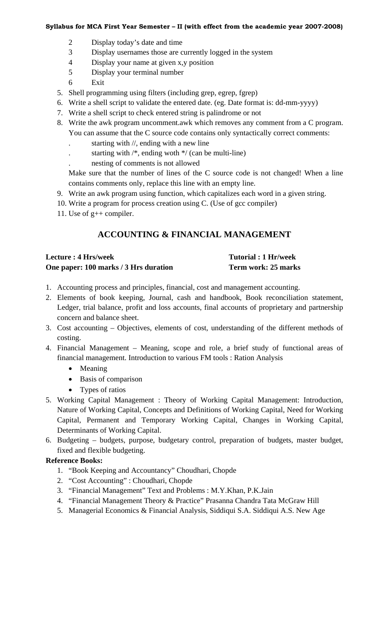- 2 Display today's date and time
- 3 Display usernames those are currently logged in the system
- 4 Display your name at given x,y position
- 5 Display your terminal number
- 6 Exit
- 5. Shell programming using filters (including grep, egrep, fgrep)
- 6. Write a shell script to validate the entered date. (eg. Date format is: dd-mm-yyyy)
- 7. Write a shell script to check entered string is palindrome or not
- 8. Write the awk program uncomment.awk which removes any comment from a C program.
	- You can assume that the C source code contains only syntactically correct comments:
	- starting with //, ending with a new line
	- . starting with  $/*$ , ending woth  $*/$  (can be multi-line)
	- . nesting of comments is not allowed

Make sure that the number of lines of the C source code is not changed! When a line contains comments only, replace this line with an empty line.

- 9. Write an awk program using function, which capitalizes each word in a given string.
- 10. Write a program for process creation using C. (Use of gcc compiler)
- 11. Use of g++ compiler.

# **ACCOUNTING & FINANCIAL MANAGEMENT**

| <b>Lecture : 4 Hrs/week</b>           | <b>Tutorial: 1 Hr/week</b> |
|---------------------------------------|----------------------------|
| One paper: 100 marks / 3 Hrs duration | Term work: 25 marks        |

- 1. Accounting process and principles, financial, cost and management accounting.
- 2. Elements of book keeping, Journal, cash and handbook, Book reconciliation statement, Ledger, trial balance, profit and loss accounts, final accounts of proprietary and partnership concern and balance sheet.
- 3. Cost accounting Objectives, elements of cost, understanding of the different methods of costing.
- 4. Financial Management Meaning, scope and role, a brief study of functional areas of financial management. Introduction to various FM tools : Ration Analysis
	- Meaning
	- Basis of comparison
	- Types of ratios
- 5. Working Capital Management : Theory of Working Capital Management: Introduction, Nature of Working Capital, Concepts and Definitions of Working Capital, Need for Working Capital, Permanent and Temporary Working Capital, Changes in Working Capital, Determinants of Working Capital.
- 6. Budgeting budgets, purpose, budgetary control, preparation of budgets, master budget, fixed and flexible budgeting.

# **Reference Books:**

- 1. "Book Keeping and Accountancy" Choudhari, Chopde
- 2. "Cost Accounting" : Choudhari, Chopde
- 3. "Financial Management" Text and Problems : M.Y.Khan, P.K.Jain
- 4. "Financial Management Theory & Practice" Prasanna Chandra Tata McGraw Hill
- 5. Managerial Economics & Financial Analysis, Siddiqui S.A. Siddiqui A.S. New Age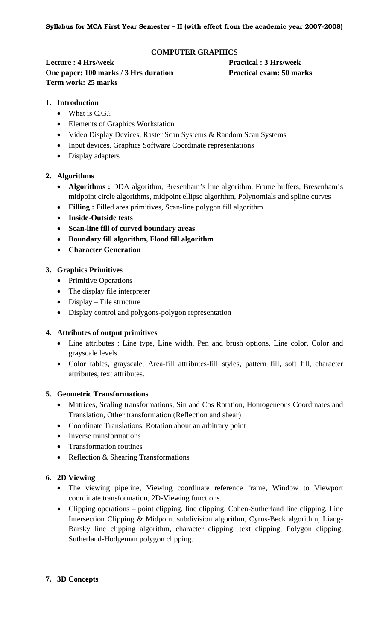# **COMPUTER GRAPHICS**

**Lecture : 4 Hrs/week Practical : 3 Hrs/week One paper: 100 marks / 3 Hrs duration Practical exam: 50 marks Term work: 25 marks** 

### **1. Introduction**

- What is C.G.?
- Elements of Graphics Workstation
- Video Display Devices, Raster Scan Systems & Random Scan Systems
- Input devices, Graphics Software Coordinate representations
- Display adapters

### **2. Algorithms**

- **Algorithms :** DDA algorithm, Bresenham's line algorithm, Frame buffers, Bresenham's midpoint circle algorithms, midpoint ellipse algorithm, Polynomials and spline curves
- **Filling :** Filled area primitives, Scan-line polygon fill algorithm
- **Inside-Outside tests**
- **Scan-line fill of curved boundary areas**
- **Boundary fill algorithm, Flood fill algorithm**
- **Character Generation**

# **3. Graphics Primitives**

- Primitive Operations
- The display file interpreter
- Display File structure
- Display control and polygons-polygon representation

### **4. Attributes of output primitives**

- Line attributes : Line type, Line width, Pen and brush options, Line color, Color and grayscale levels.
- Color tables, grayscale, Area-fill attributes-fill styles, pattern fill, soft fill, character attributes, text attributes.

### **5. Geometric Transformations**

- Matrices, Scaling transformations, Sin and Cos Rotation, Homogeneous Coordinates and Translation, Other transformation (Reflection and shear)
- Coordinate Translations, Rotation about an arbitrary point
- Inverse transformations
- Transformation routines
- Reflection & Shearing Transformations

### **6. 2D Viewing**

- The viewing pipeline, Viewing coordinate reference frame, Window to Viewport coordinate transformation, 2D-Viewing functions.
- Clipping operations point clipping, line clipping, Cohen-Sutherland line clipping, Line Intersection Clipping & Midpoint subdivision algorithm, Cyrus-Beck algorithm, Liang-Barsky line clipping algorithm, character clipping, text clipping, Polygon clipping, Sutherland-Hodgeman polygon clipping.

### **7. 3D Concepts**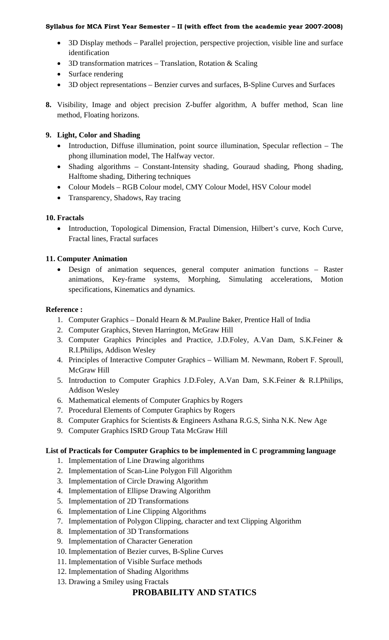- 3D Display methods Parallel projection, perspective projection, visible line and surface identification
- 3D transformation matrices Translation, Rotation & Scaling
- Surface rendering
- 3D object representations Benzier curves and surfaces, B-Spline Curves and Surfaces
- **8.** Visibility, Image and object precision Z-buffer algorithm, A buffer method, Scan line method, Floating horizons.

# **9. Light, Color and Shading**

- Introduction, Diffuse illumination, point source illumination, Specular reflection The phong illumination model, The Halfway vector.
- Shading algorithms Constant-Intensity shading, Gouraud shading, Phong shading, Halftome shading, Dithering techniques
- Colour Models RGB Colour model, CMY Colour Model, HSV Colour model
- Transparency, Shadows, Ray tracing

# **10. Fractals**

• Introduction, Topological Dimension, Fractal Dimension, Hilbert's curve, Koch Curve, Fractal lines, Fractal surfaces

# **11. Computer Animation**

• Design of animation sequences, general computer animation functions – Raster animations, Key-frame systems, Morphing, Simulating accelerations, Motion specifications, Kinematics and dynamics.

# **Reference :**

- 1. Computer Graphics Donald Hearn & M.Pauline Baker, Prentice Hall of India
- 2. Computer Graphics, Steven Harrington, McGraw Hill
- 3. Computer Graphics Principles and Practice, J.D.Foley, A.Van Dam, S.K.Feiner & R.I.Philips, Addison Wesley
- 4. Principles of Interactive Computer Graphics William M. Newmann, Robert F. Sproull, McGraw Hill
- 5. Introduction to Computer Graphics J.D.Foley, A.Van Dam, S.K.Feiner & R.I.Philips, Addison Wesley
- 6. Mathematical elements of Computer Graphics by Rogers
- 7. Procedural Elements of Computer Graphics by Rogers
- 8. Computer Graphics for Scientists & Engineers Asthana R.G.S, Sinha N.K. New Age
- 9. Computer Graphics ISRD Group Tata McGraw Hill

# **List of Practicals for Computer Graphics to be implemented in C programming language**

- 1. Implementation of Line Drawing algorithms
- 2. Implementation of Scan-Line Polygon Fill Algorithm
- 3. Implementation of Circle Drawing Algorithm
- 4. Implementation of Ellipse Drawing Algorithm
- 5. Implementation of 2D Transformations
- 6. Implementation of Line Clipping Algorithms
- 7. Implementation of Polygon Clipping, character and text Clipping Algorithm
- 8. Implementation of 3D Transformations
- 9. Implementation of Character Generation
- 10. Implementation of Bezier curves, B-Spline Curves
- 11. Implementation of Visible Surface methods
- 12. Implementation of Shading Algorithms
- 13. Drawing a Smiley using Fractals

# **PROBABILITY AND STATICS**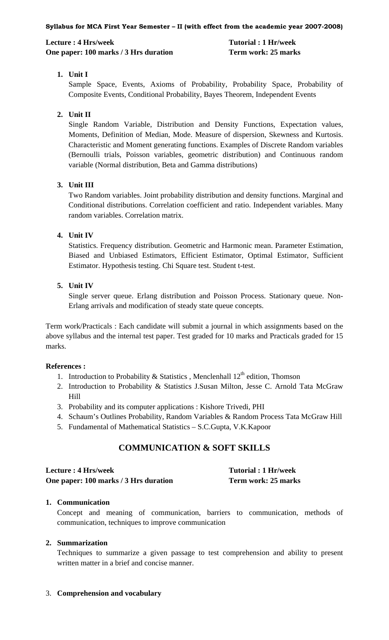# **Lecture : 4 Hrs/week 1996 1997 10: 1 Hrvarial : 1 Hr/week** 1 **One paper: 100 marks / 3 Hrs duration Term work: 25 marks**

# **1. Unit I**

Sample Space, Events, Axioms of Probability, Probability Space, Probability of Composite Events, Conditional Probability, Bayes Theorem, Independent Events

# **2. Unit II**

Single Random Variable, Distribution and Density Functions, Expectation values, Moments, Definition of Median, Mode. Measure of dispersion, Skewness and Kurtosis. Characteristic and Moment generating functions. Examples of Discrete Random variables (Bernoulli trials, Poisson variables, geometric distribution) and Continuous random variable (Normal distribution, Beta and Gamma distributions)

# **3. Unit III**

Two Random variables. Joint probability distribution and density functions. Marginal and Conditional distributions. Correlation coefficient and ratio. Independent variables. Many random variables. Correlation matrix.

# **4. Unit IV**

Statistics. Frequency distribution. Geometric and Harmonic mean. Parameter Estimation, Biased and Unbiased Estimators, Efficient Estimator, Optimal Estimator, Sufficient Estimator. Hypothesis testing. Chi Square test. Student t-test.

# **5. Unit IV**

Single server queue. Erlang distribution and Poisson Process. Stationary queue. Non-Erlang arrivals and modification of steady state queue concepts.

Term work/Practicals : Each candidate will submit a journal in which assignments based on the above syllabus and the internal test paper. Test graded for 10 marks and Practicals graded for 15 marks.

# **References :**

- 1. Introduction to Probability & Statistics, Menclenhall  $12<sup>th</sup>$  edition, Thomson
- 2. Introduction to Probability & Statistics J.Susan Milton, Jesse C. Arnold Tata McGraw Hill
- 3. Probability and its computer applications : Kishore Trivedi, PHI
- 4. Schaum's Outlines Probability, Random Variables & Random Process Tata McGraw Hill
- 5. Fundamental of Mathematical Statistics S.C.Gupta, V.K.Kapoor

# **COMMUNICATION & SOFT SKILLS**

| Lecture : 4 Hrs/week                  | Tutorial: 1 Hr/week |
|---------------------------------------|---------------------|
| One paper: 100 marks / 3 Hrs duration | Term work: 25 marks |

# **1. Communication**

Concept and meaning of communication, barriers to communication, methods of communication, techniques to improve communication

# **2. Summarization**

Techniques to summarize a given passage to test comprehension and ability to present written matter in a brief and concise manner.

3. **Comprehension and vocabulary**